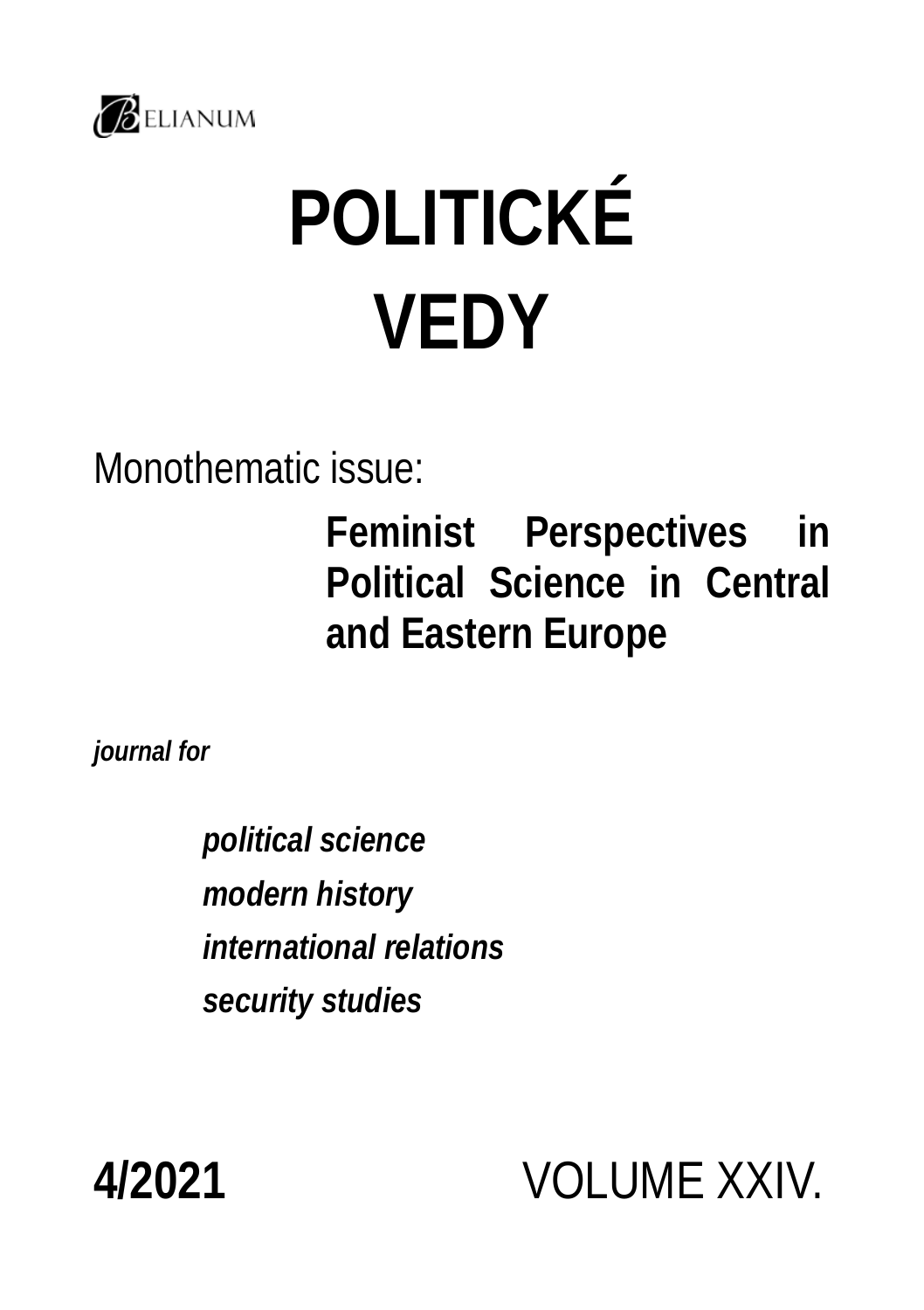

# **POLITICKÉ VEDY**

Monothematic issue:

**Feminist Perspectives in Political Science in Central and Eastern Europe**

*journal for*

*political science modern history international relations security studies*

**4/2021** VOLUME XXIV.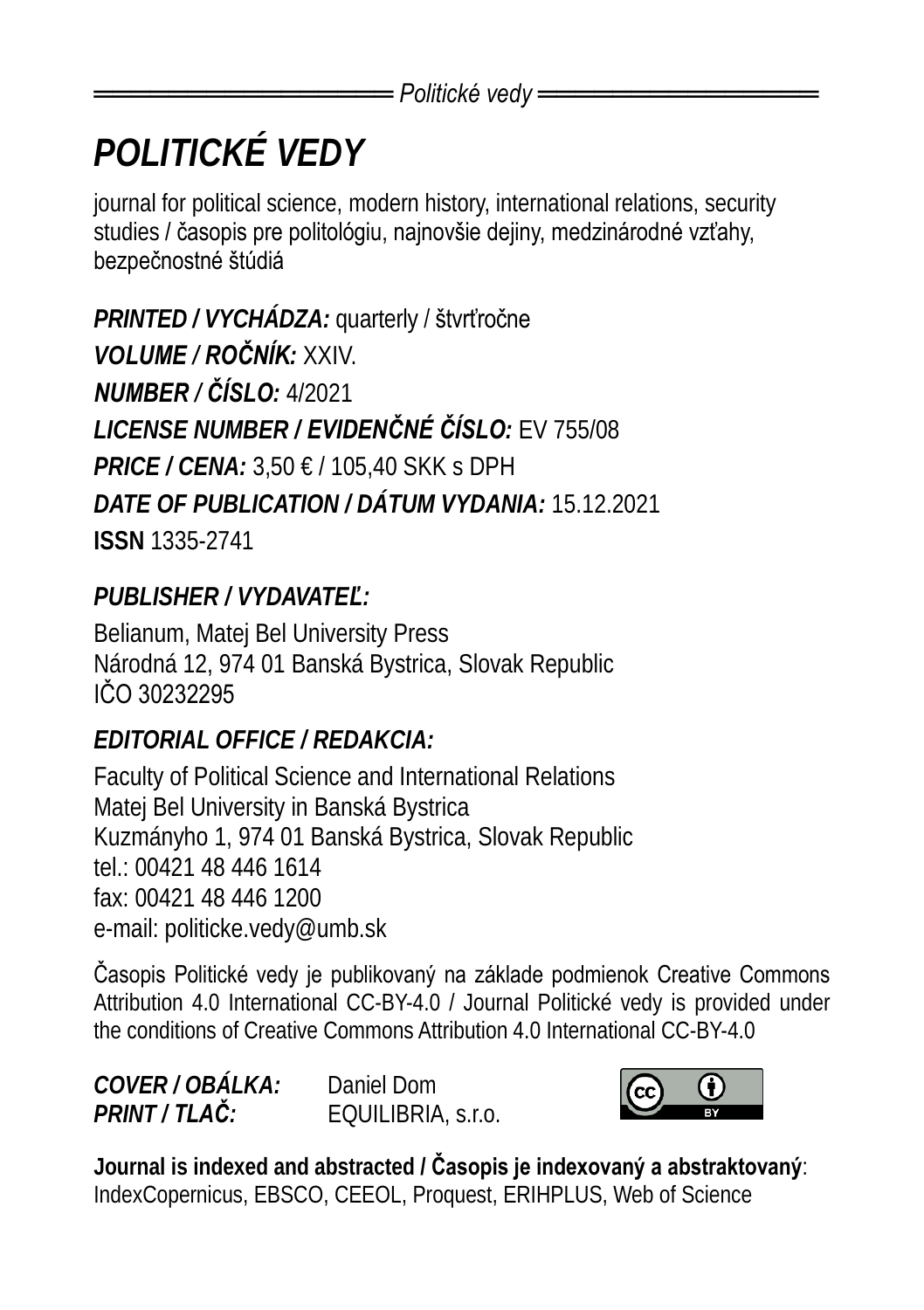## *POLITICKÉ VEDY*

journal for political science, modern history, international relations, security studies / časopis pre politológiu, najnovšie dejiny, medzinárodné vzťahy, bezpečnostné štúdiá

*PRINTED / VYCHÁDZA:* quarterly / štvrťročne *VOLUME / ROČNÍK:* XXIV. *NUMBER / ČÍSLO:* 4/2021 *LICENSE NUMBER / EVIDENČNÉ ČÍSLO:* EV 755/08 *PRICE / CENA:* 3,50 € / 105,40 SKK s DPH *DATE OF PUBLICATION / DÁTUM VYDANIA:* 15.12.2021 **ISSN** 1335-2741

#### *PUBLISHER / VYDAVATEĽ:*

Belianum, Matej Bel University Press Národná 12, 974 01 Banská Bystrica, Slovak Republic IČO 30232295

#### *EDITORIAL OFFICE / REDAKCIA:*

Faculty of Political Science and International Relations Matej Bel University in Banská Bystrica Kuzmányho 1, 974 01 Banská Bystrica, Slovak Republic tel.: 00421 48 446 1614 fax: 00421 48 446 1200 e-mail: politicke.vedy@umb.sk

Časopis Politické vedy je publikovaný na základe podmienok Creative Commons Attribution 4.0 International CC-BY-4.0 / Journal Politické vedy is provided under the conditions of Creative Commons Attribution 4.0 International CC-BY-4.0

*COVER / OBÁLKA:* Daniel Dom *PRINT / TLAČ:* EQUILIBRIA, s.r.o.



**Journal is indexed and abstracted / Časopis je indexovaný a abstraktovaný**: IndexCopernicus, EBSCO, CEEOL, Proquest, ERIHPLUS, Web of Science